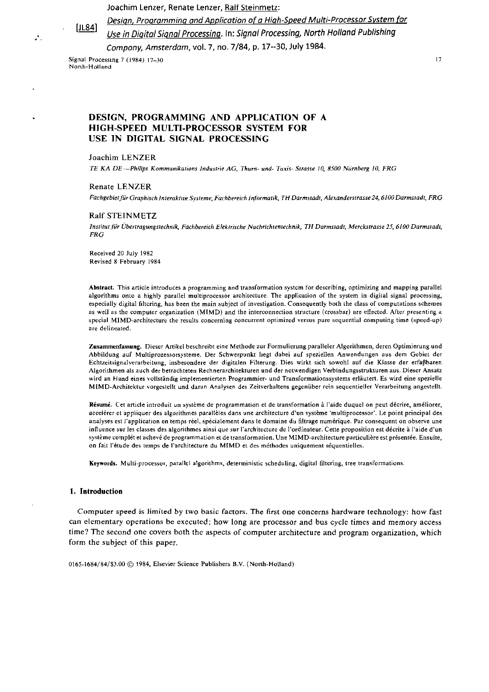Joachim Lenzer, Renate Lenzer, Ralf Steinmetz:



 $\mathcal{L}_{\mathcal{A}}$ 

Ľ

Design, Programming and Application of a High-Speed Multi-Processor System for Use in Digital Signal Processing. In: Signal Processing, North Holland Publishing Compony, Amsterdam, vol. 7, no. 7/84, p. 17--30, July 1984.

Signal Processing 7 (1984) 17-30 North-Holland

 $17$ 

# DESIGN, PROGRAMMING AND APPLICATION OF A HIGH-SPEED MULTI-PROCESSOR SYSTEM FOR USE IN DIGITAL SIGNAL PROCESSING

### **Joachim LENZER**

TE KA DE-Philips Kommunikations Industrie AG, Thurn- und- Taxis- Strasse 10, 8500 Nürnberg 10, FRG

### Renate LENZER

Fachgebiet für Graphisch Interaktive Systeme, Fachbereich Informatik, TH Darmstadt, Alexanderstrasse 24, 6100 Darmstadt, FRG

### Ralf STEINMETZ

Institut für Übertragungstechnik, Fachbereich Elektrische Nachrichtentechnik, TH Darmstadt, Merckstrasse 25, 6100 Darmstadt,  $FRG$ 

Received 20 July 1982 Revised 8 February 1984

Abstract. This article introduces a programming and transformation system for describing, optimizing and mapping parallel algorithms onto a highly parallel multiprocessor architecture. The application of the system in digital signal processing, especially digital filtering, has been the main subject of investigation. Consequently both the class of computations schemes as well as the computer organization (MIMD) and the interconnection structure (crossbar) are effected. After presenting a special MIMD-architecture the results concerning concurrent optimized versus pure sequential computing time (speed-up) are delineated.

Zusammenfassung. Dieser Artikel beschreibt eine Methode zur Formulierung paralleler Algorithmen, deren Optimierung und Abbildung auf Multiprozessorsysteme. Der Schwerpunkt liegt dabei auf speziellen Anwendungen aus dem Gebiet der Echtzeitsignalverarbeitung, insbesondere der digitalen Filterung. Dies wirkt sich sowohl auf die Klasse der erfaßbaren Algorithmen als auch der betrachteten Rechnerarchitekturen und der notwendigen Verbindungsstrukturen aus. Dieser Ansatz wird an Hand eines vollständig implementierten Programmier- und Transformationssystems erläutert. Es wird eine spezielle MIMD-Architektur vorgestellt und daran Analysen des Zeitverhaltens gegenüber rein sequentieller Verarbeitung angestellt.

Résumé. Cet article introduit un système de programmation et de transformation à l'aide duquel on peut décrire, améliorer, accelérer et appliquer des algorithmes parallèles dans une architecture d'un système 'multiprocessor'. Le point principal des analyses est l'application en temps réel, spécialement dans le domaine du filtrage numérique. Par consequent on observe une influence sur les classes des algorithmes ainsi que sur l'architecture de l'ordinateur. Cette proposition est décrite à l'aide d'un système complét et achevé de programmation et de transformation. Une MIMD-architecture particulière est présentée. Ensuite, on fait l'étude des temps de l'architecture du MIMD et des méthodes uniquement séquentielles.

Keywords. Multi-processor, parallel algorithms, deterministic scheduling, digital filtering, tree transformations.

### 1. Introduction

Computer speed is limited by two basic factors. The first one concerns hardware technology: how fast can elementary operations be executed; how long are processor and bus cycle times and memory access time? The second one covers both the aspects of computer architecture and program organization, which form the subject of this paper.

0165-1684/84/\$3.00 C 1984, Elsevier Science Publishers B.V. (North-Holland)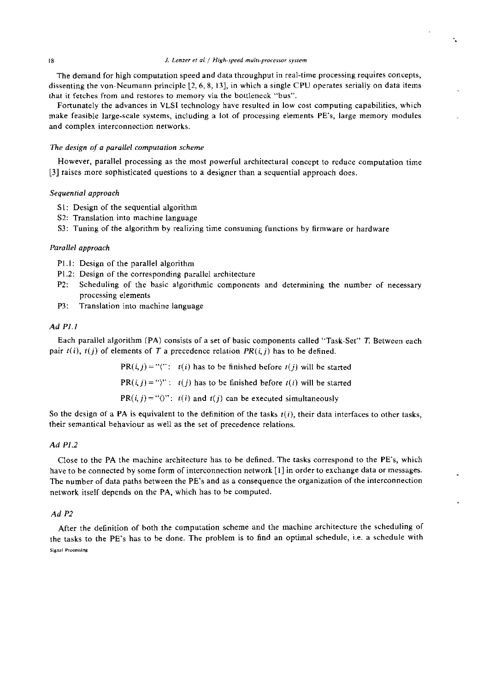### J. Lenzer et al. / High-speed multi-processor system

÷.

The demand for high computation speed and data throughput in real-time processing requires concepts, dissenting the von-Neumann principle [2, 6, 8, 13], in which a single CPU operates serially on data items that it fetches from and restores to memory via the bottleneck "bus".

Fortunately the advances in VLSl technology have resulted in low cost computing capabilities, which make feasible large-scale Systems, including a lot of processing elements PE's, large memory modules and complex interconnection networks.

#### *7'he design* of *a parallel compuration scheme*

However, parallel processing as the most powerful architectural concept to reduce computation time [3] raises more sophisticated questions to a designer than a sequential approach does.

# *Sequential approach*

- SI: Design of the sequential algorithm
- S2: Translation into machine language
- S3: Tuning of the algorithm by realizing time consuming functions by firmware or hardware

# *Parallel approach*

- PI.1: Design of the parallel algorithm
- P1.2: Design of the corresponding parallel architecture
- P2: Scheduling of the basic algorithmic components and determining the number of necessary processing elements
- P3: Translation into machine language

# $Ad$  PLI

Each parallel algorithm (PA) consists of a set of basic components called "Task-Set" T. Between each pair  $r(i)$ ,  $r(j)$  of elements of T a precedence relation  $PR(i, j)$  has to be defined.

 $PR(i, j) = "('': t(i) has to be finished before t(j) will be started$ 

 $PR(i, j) = \text{``})\text{''}: i(j)$  has to be finished before  $t(i)$  will be started

 $PR(i, j) = \sqrt[i]{r}$ :  $t(i)$  and  $t(j)$  can be executed simultaneously

So the design of a PA is equivalent to the definition of the tasks  $t(i)$ , their data interfaces to other tasks, their semantical behaviour as well as the set of precedence relations.

# Ad P1.2

Close to the PA the machine architecture has to be defined. The tasks correspond to the PE's, which have to be connected by some form of interconnection network [I] in order to exchange data or messages. The number of data paths between the PE's and as a consequence the organization of the interconnection network itself depends on the PA, which has to be computed.

### $AdP2$

After the definition of both the computation scheme and the machine architecture the scheduling of the tasks to the PE's has to be done. The problem is to find an optimal schedule, i.e. a schedule with Signal Processing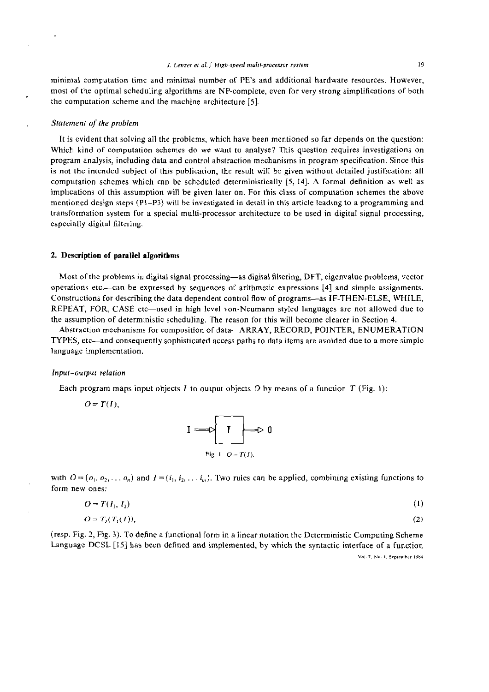minimal computation time and minimal number of PE's and additional hardware resources. However, most of the optimal scheduling algorithms are NP-complete. even for very strong simplifications of both the computation scheme and the machine architecture [5].

# **Statement of the problem**

It is evident that solving all the problems, which have been mentioned so far depends on the question: Which kind of computation schemes do we want to analyse? This question requires investigations on program analysis, including data and control abstraction mechanisms in program specification. Since this is not the intended subject of this publication, the result will be given without detailed justification: all compiitation schemes which can be scheduled deterministically [5, 141. **A** formal definition **as** well as implications of this assumption will be given later on. For this class of computation schemes the above mentioned design steps (PI-P3) will be investigated in detail in this article leading to a programming and transformation system for a special multi-processor architecture to be used in digital signal processing, especially digital filtering.

# **2.** Deseriptinn **of parallel algnrithms**

Most ofthe problcms in digital signal processing-as digital filtering, DFT, eigenvalue problems, vector operations etc.-can be expressed by sequences of arithmetic expressions [4] and simple assignments. Constructions for describing the data dependent control flow of programs—as IF-THEN-ELSE, WHILE, REPEAT. FOR. CASE etc—used in high level von-Neumann styled languages are not allowed due to the assumption of deterministic scheduling. The reason for this will become clearer in Section 4.

Abstraction mechanisms for composition of data--ARRAY, RECORD, POINTER, ENUMERATION TYPES, etc—and consequently sophisticated access paths to data items are avoided due to a more simple language implementation.

#### Input-output relation

Each program maps input objects I to output objects O by means of a function T (Fig. 1):

$$
O=T(I),
$$



with  $O = (o_1, o_2, \ldots, o_n)$  and  $I = (i_1, i_2, \ldots, i_n)$ . Two rules can be applied, combining existing functions to form new ones:

$$
O = T(I_1, I_2) \tag{1}
$$

$$
O = T_2(T_1(I)),
$$
 (2)

(resp. Fig. 2, Fig. **3).** To define a functional form in a linear notation the Deterministic Computing Scheme Language DCSL [15] has been defined and implemented, by which the syntactic interface of a function **Ynl. 7. Nu.** I. **Siplrmhir IVM**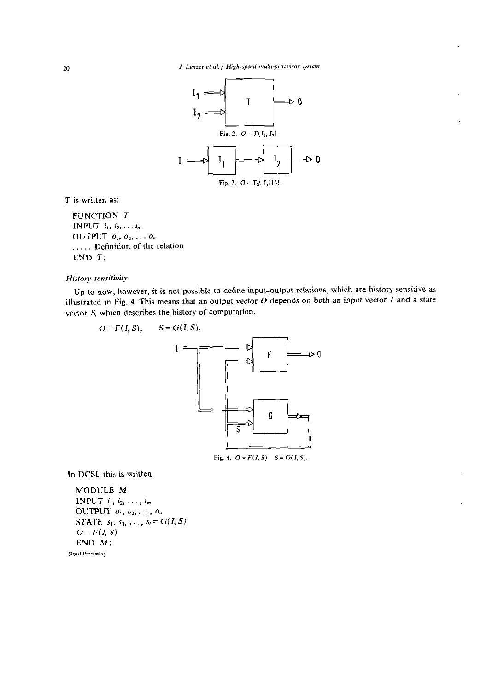

 $T$  is written as:

FUNCTION T **INPUT**  $i_1, i_2, \ldots i_m$ OUTPUT  $o_1, o_2, \ldots o_n$ .... Definition of the relation END T;

# History sensitivity

Up to now, however, it is not possible to define input-output relations, which are history sensitive as illustrated in Fig. 4. This means that an output vector  $O$  depends on both an input vector  $I$  and a state vector S, which describes the history of computation.

$$
O = F(I, S), \qquad S = G(I, S).
$$

In DCSL this is written

MODULE M INPUT  $i_1, i_2, \ldots, i_m$ OUTPUT  $o_1, o_2, \ldots, o_n$ **STATE**  $s_1, s_2, ..., s_l = G(I, S)$  $O-F(I, S)$  $END M;$ Signal Processing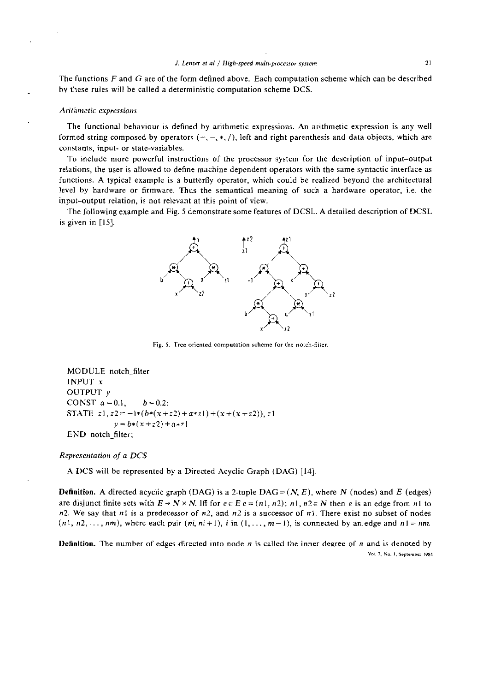The functions  $F$  and  $G$  are of the form defined above. Each computation scheme which can be described by these rules will be called a deterministic computation scheme DCS.

#### Arithmetic expressions

The functional behaviour is defined by arithmetic expressions. An arithmetic expression is any well formed string composed by operators  $(+, -, *, /)$ , left and right parenthesis and data objects, which are constants, input- or state-variables.

To include more powerful instructions of the processor system for the description of input-output relations, the user is allowed to define machine dependent operators with the same syntactic interface as functions. A typical example is a butterfly operator, which could be realized beyond the architectural level by hardware or firmware. Thus the semantical meaning of such a hardware operator, i.e. the input-output relation, is not relevant at this point of view.

The following example and Fig. 5 demonstrate some features of DCSL. A detailed description of DCSL is given in  $[15]$ .



**Fig. 5. Tree** *oriented camputatian scheme* **for ihe natch-fiiier** 

MODULE notch-filter INPUT **<sup>X</sup>** OUTPUT y CONST  $a = 0.1$ ,  $b = 0.2$ ; STATE  $z_1, z_2 = -\frac{1*(b*(x+z_2)+a+z_1)+(x+(x+z_2))}{2!}$  $y = b*(x+z2)+a*z!$ END notch-filter;

#### Representation of a *DCS*

A DCS will be represented by a Directed Acyclic Graph (DAG) [14].

**Definition.** A directed acyclic graph (DAG) is a 2-tuple  $DAG = (N, E)$ , where N (nodes) and E (edges) are disjunct finite sets with  $E \rightarrow N \times N$ . Iff for  $e \in E$   $e = (n1, n2)$ ; nl,  $n2 \in N$  then e is an edge from nl to n2. We say that n1 is a predecessor of n2, and n2 is a successor of n1. There exist no subset of nodes  $(n_1, n_2, \ldots, n_m)$ , where each pair  $(n_i, n_i+1)$ , i in  $(1, \ldots, m-1)$ , is connected by an edge and  $n_1 = nm$ .

**Definition.** The number of edges directed into node **n** is called the inner deeree of **n** and is denoted by  $\text{Yo}$ , 7, No. 1, September 1984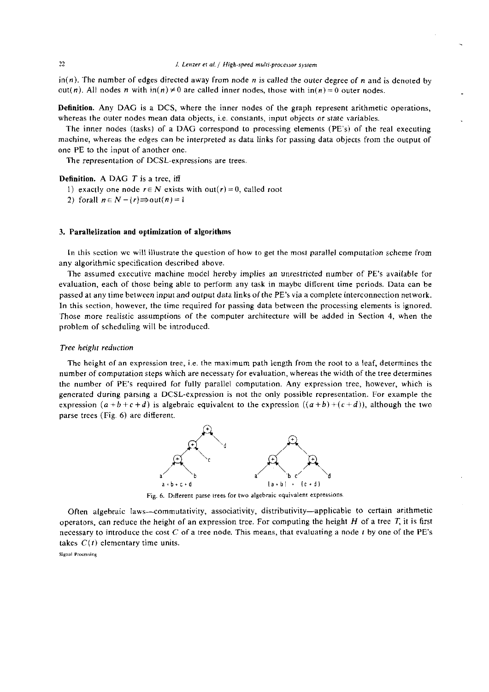$\text{in}(n)$ . The number of edges directed away from node *n* is called the outer degree of *n* and is denoted by out(n). All nodes n with  $in(n) \neq 0$  are called inner nodes, those with  $in(n) = 0$  outer nodes.

Definition. Any DAG is a DCS, where the inner nodes of the graph represent arithmetic operations, whereas the outer nodes mean data objects, i.e. constants, input objects or state variables.

The inner nodes (tasks) of a DAG correspond to processing elements (PE's) of the real executing machine. whereas the edges can he interpreted as data links for passing data objects from the output of one PE to the input of another one.

The representation of DCSL-expressions are trees.

**Definition.** A DAG  $T$  is a tree, iff

- 1) exactly one node  $r \in N$  exists with out(r) = 0, called root
- 2) forall  $n \in N \{r\} \Rightarrow \text{out}(n) = 1$

### 3. Parallelization and optimization of algorithms

In this section wc will illustrate the question of how to get the most parallel computation scheme from any algorithmic specification described above.

The assumed executive machine model hereby implies an unrestricted number of PE's available for evaluation, each of those being able to perform any task in maybe different time periods. Data can be passed at any time between input and oulput data links of the PE's via a complete interconnection network. In this section, however, the time required for passing data between the processing elements is ignored. Those more realistic assumptions of the Computer architecture will be added in Section 4, when the problem of scheduling will be introduced.

# Tree height reduction

The height of an expression tree, i.e. the maximum path length from the root to a leaf, determines the number of computation steps which are necessary for evaluation, whereas the width of the tree determines the number of PE's required for fully parallel computation. Any expression tree, however, which is generated during parsing a DCSL-expression is not the only possible representation. For example the expression  $(a + b + c + d)$  is algebraic equivalent to the expression  $((a + b) + (c + d))$ , although the two parse trees (Fig. 6) are different.



Fig. 6. Different parse trees for two algebraic equivalent expressions.

Often algebraic laws-comrnutativity, associativity, distributivity-applicable to certain arithmetic operators, can reduce the height of an expression tree. For computing the height  $H$  of a tree  $T$ , it is first necessary to introducc the cost *C* of a tree node. This means, that evaluating a node **r** by one of the PE's takes  $C(t)$  elementary time units.

**Signal Processing**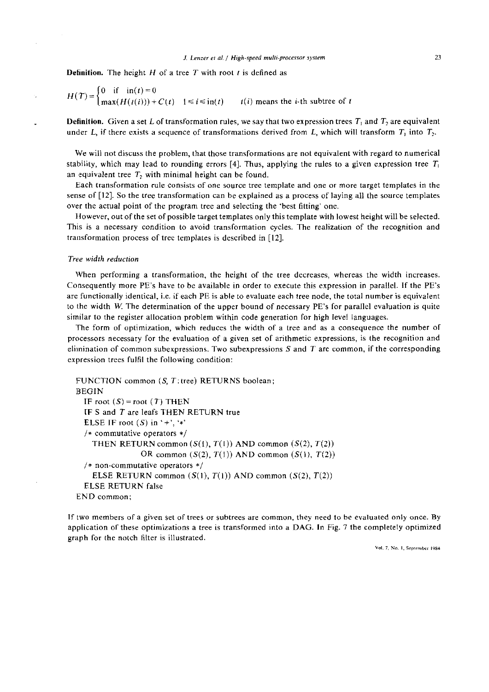#### *J. Lenzer et al. / High-speed multi-processor system*

**Definition.** The height  $H$  of a tree  $T$  with root  $t$  is defined as

$$
H(T) = \begin{cases} 0 & \text{if } \operatorname{in}(t) = 0 \\ \max(H(t(i))) + C(t) & 1 \le i \le \operatorname{in}(t) \end{cases} \qquad t(i) \text{ means the } i \text{-th subtree of } t
$$

**Definition.** Given a set L of transformation rules, we say that two expression trees  $T_1$  and  $T_2$  are equivalent under L, if there exists a sequence of transformations derived from L, which will transform  $T_1$  into  $T_2$ .

We will not discuss the problem, that those transformations are not equivalent with regard to numerical stability, which may lead to rounding errors [4]. Thus, applying the rules to a given expression tree  $T_1$ an equivalent tree  $T_2$  with minimal height can be found.

Each transformation rule consists of one source tree template and one or more target templates in the sense of [12]. So the tree transformation can be explained as a process of laying all the source templates over the actual point of the program tree and selecting the 'best fitting' one.

However, out of the set of possible target templates only this template with lowest height will be selected. This is a necessary condition to avoid transformation cycles. The realization of the recognition and transformation process of tree templates is described in [12].

### Tree width reduction

When performing a transformation, the height of the tree decreases, whereas the width increases. Consequently more PE's have to be available in order to execute this expression in parallel. If the PE's are functionally identical, i.e. if each PE is able to evaluate each tree node, the total number is equivalent to ihe width **W** The determination of the upper bound of necessary PE's for parallel evaluation is quite sinnilar to the register allocation problem within code generation for high level languages.

The form of optimization, which reduces the width of a tree and as a consequence the number of processors necessary for the evaluation of a given set of arithmetic expressions, is the recognition and elimination of common subexpressions. Two subexpressions  $S$  and  $T$  are common, if the corresponding expression trees fulfil the following condition:

```
FUNCTION common (S, T): tree) RETURNS boolean;
l3EGIN 
 IF root (S) = root (T) THEN
 IF S and T are leafs THEN RETURN true
 ELSE IF root (S) in '+', '*'
 /* commutative operators */THEN RETURN common (S(1), T(1)) AND common (S(2), T(2))OR common (S(2), T(1)) AND common (S(1), T(2))/* non-commutative operators */ 
    ELSE RETURN common (S(1), T(1)) AND common (S(2), T(2))ELSE RETURN false 
END common:
```
If two members of a given set of trees or subtrees are common, they need to be evaluated only once. By application oi these optimizations a tree is transformed into a DAG. In Fig. 7 the completely optimized graph for the notch filter is illustrated.

**Val.** *I.* **Na.** I. **Sep!rmbcr I984**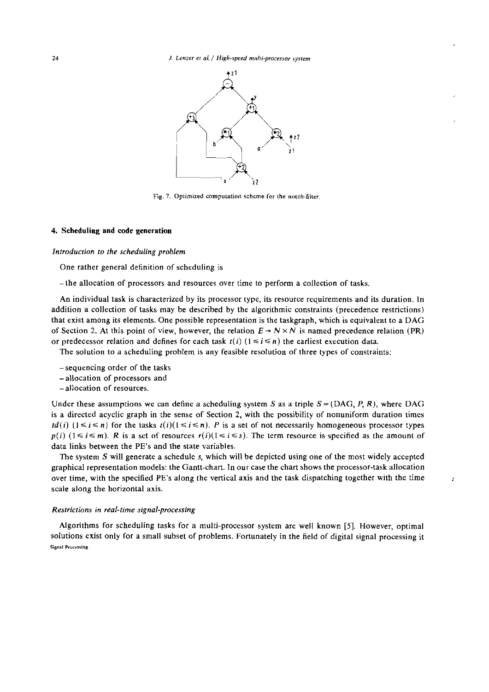

Fig. 7. Optimized computation scheme for the notch-filter.

#### 4. Scheduling and code generation

Introduction to the scheduling problem

One rather general definition of schcduling is

- the allocation of processors and resources over time to perform a collection of tasks.

An individual task is characterized by its processor type, its resource requirements and its duration. In addition a collection of tasks may be described by the algorithmic constraints (precedence restrictions) that exist among its elements. One possible representation is the taskgraph, which is equivalent to a DAG of Section 2. At this point of view, however, the relation  $E \rightarrow N \times N$  is named precedence relation (PR) or predecessor relation and defines for each task  $i(i)$  ( $1 \le i \le n$ ) the earliest execution data.

The solution to a scheduling problem is any feasible resolution of three types of constraints:

- sequencing order of the tasks
- allocation of processors and
- allocation of resources.

Under these assumptions we can define a scheduling system S as a triple  $S = (DAG, P, R)$ , where DAG is a directed acyclic graph in the sense of Section 2, with the possibility of nonuniform duration times  $td(i)$  ( $1 \le i \le n$ ) for the tasks  $t(i)(1 \le i \le n)$ . P is a set of not necessarily homogeneous processor types  $p(i)$  ( $1 \le i \le m$ ). R is a set of resources  $r(i)$ ( $1 \le i \le s$ ). The term resource is specified as the amount of data links between the PE's and the state variables.

The system **S** will generate a schedule s, which will be depicted using one of the most widely accepted graphical representation models: the Gantt-chart. In our case the chart shows the processor-task allocation over time, with the specified PE's along the vertical axis and the task dispatching together with the time scale along the horizontal axis.

 $\mathcal{L}$ 

### Restrictions in real-time signal-processing

Algorithms for scheduling tasks for a multi-processor system are well known **[5].** However, optimal solutions exist only for a small subset of problems. Fortunately in the field of digital signal processing it  $Signal$  **Processing**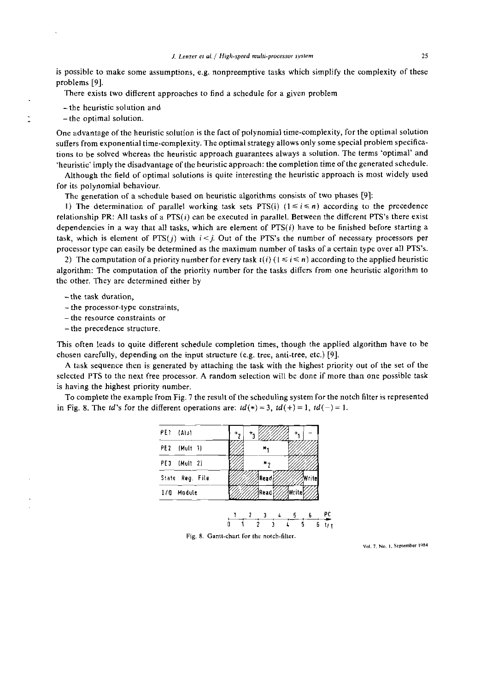is possible to make some assumptions, e.g. nonpreemptive tasks which simplify the complexity of these problems [9].

There exists two different approaches to find a schedule for a given problem

-the heuristic solution and

- the optimal solution.

One advantage of the heuristic solution is the fact of polynomial time-complexity, for the optimal solution suffers from exponential time-complexity. The optimal strategy allows only some special problem specifications to be solved whereas the heuristic approach guarantees always a solution. The terms 'optimal' and 'heuristic' imply the disadvantage of the heuristic approach: the completion time of the generated schedule.

Although the field of optimal solutions is quite interesting the heuristic approach is most widely used for its polynomial behaviour.

The generation of a schedule hased on heuristic algorithms consists of two phases [9]:

I) The determination of parallel working task sets PTS(i)  $(1 \le i \le n)$  according to the precedence relationship PR: All tasks of a  $PTS(i)$  can be executed in parallel. Between the different PTS's there exist dependencies in a way that all tasks, which are element of  $PTS(i)$  have to be finished before starting a task, which is element of  $PTS(j)$  with  $i < j$ . Out of the PTS's the number of necessary processors per processor type can easily be determined as the maximum number of tasks of a certain type over all PTS's.

2) The computation of a priority number for every task  $t(i)$  ( $1 \le i \le n$ ) according to the applied heuristic algorithm: Tbe computation of the priority number for the tasks differs from one heuristic algorithm to thc other. They are determined either by

-the task duration,

- the processor-type constraints,

- the resource constraints or
- the precedence structure.

This often leads to quite different schedule completion times, though the applied algorithm have to be chosen carefully, depending on the input structure (e.g. tree, anti-tree, etc.) [9].

A task sequence then is generated by attaching the task with the highest priority out of the set of the selected PTS to the next free processor. A random selection will be done if more than one possible task is having the highest priority number.

To complete the example from Fig. 7 the result of the scheduling system for the notch filter is represented in Fig. 8. The td's for the different operations are:  $td(*) = 3$ ,  $td(+) = 1$ ,  $td(-) = 1$ .

| PE1 (Alut       |  |                |         |       |
|-----------------|--|----------------|---------|-------|
| PE2 (Mult 1)    |  |                |         |       |
| PE3 (Mult 2)    |  | $\mathbf{y}_2$ |         |       |
| State Reg. File |  | Read           |         | Wr te |
| 1/0 Module      |  | ∄Read¦         | awritel |       |
|                 |  |                |         |       |

Fig. 8. Gantt-chart for the notch-filter.

Vol. 7, No. 1, September 1984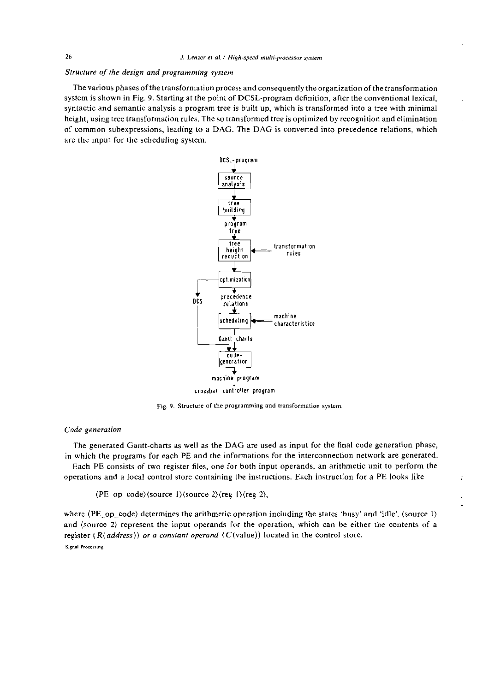# Struciure of the design and programming system

The various phases of the transformation process and consequently the organization of the transformation system is shown in Fig. 9. Starting at the point of DCSL-program definition, afler the conventional lexical, syntactic and semantic analysis a program tree is huilt up, which is transformed into a tree with minimal height, using tree transformation rules. The so transformed tree is optimized by recognition and elimination of common subexpressions, leading to a DAG. The DAG is converted into precedence reiations, which are the input for the scheduling system.



Fig. 9. Structure of the programming and transformation system.

# Code generaiion

The generated Gantt-charts as well as the DAG are used as input for the final code generation phase, in which the programs for each PE and the informations for the interconnection network are generated.

Each PE consists of two register files, one for both input operands. an arithmetic unit to perform the operations and a local control store containing the instructions. Each instmction for a PE looks like

 $\langle PE\_op\_code \rangle$  (source 1) (source 2) (reg 1) (reg 2),

where (PE-op-code) determines the arithmetic operation including the states 'busy' and 'idle'. (source 1) and (source 2) represent the input operands for the operation, which can be either the contents of a register ( $R(address)$ ) or a constant operand ( $C(\text{value})$ ) located in the control store. **Signal Processing** 

 $\overline{a}$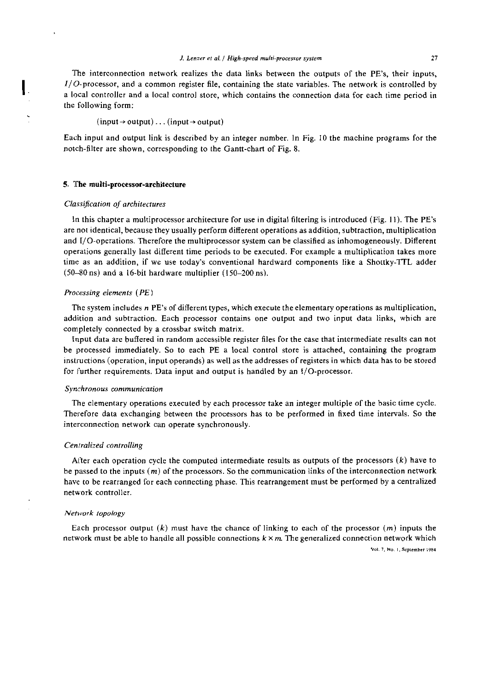The interconnection network realizes the data links between the outputs of the PE's, their inputs, I/O-processor, and a common register file, containing the state variables. The network is controlled by a Iocal controller and a local control store, which contains the connection data for each time period in the following form:

#### $(input \rightarrow output) \dots (input \rightarrow output)$

Each input and output link is described by an integer number. In Fig. 10 the machine programs for the notch-filter are shown, corresponding to the Gantt-chart of Fig. 8.

#### **5. 1The multi-processor-architecture**

### **Classijcation of archiiectures**

 $\mathbf{I}$ 

In this chapter a multiprocessor architecture for use in digital filtering is introduced (Fig. 11). The PE's are not identical, because they usually perform different operations as addition, suhtraction, multiplication and I/O-operations. Therefore the multiprocessor system can be classified as inhomogeneously. Different operations generally last different time periods to be executed. For example a multiplication takes more time as an addition, if we use today's conventional hardward components like a Shottky-TTL adder (50--80 ns) and a 16-bit hardware multiplier (150-200ns).

### **Processing elernenls** *(PE)*

The system includes **n** PE's of different types, which execute the elementary operations as multiplication, addition and suhtraction. Each processor contains one output and two input data links, which are completely connected by a crossbar switch matrix.

Input data are buffered in random accessible register files for the case that intermediate results can not be processed immediately. So to each PE a local control store is attached, containing the program instructions (operation, input operands) as well as the addresses of registers in which data has to be stored for further requirements. Data input and output is handled by an  $I/O$ -processor.

#### **Synchronous communicarion**

The elementary operations executed by each processor take an integer multiple of the basic time cycle. Therefore data exchanging between the processors has to be performed in fixed time intervals. So the interconnection network can operate synchronously.

#### **Ceniralized controlling**

Alter each operation cycle the computed intermediate results as outputs of the processors  $(k)$  have to be passed to the inputs **(m)** of the processors. So the communication links of the interconnection network have to be rearranged for each connecting phase. This rearrangement must be performed by a centralized network controller.

#### **Netrvork** *topologj*

Each processor output  $(k)$  must have the chance of linking to each of the processor  $(m)$  inputs the network must be able to handle all possible connections k **X m.** The generalized connection network which

**Val.** *I.* **No.** I. **Scplrmhcr ,984**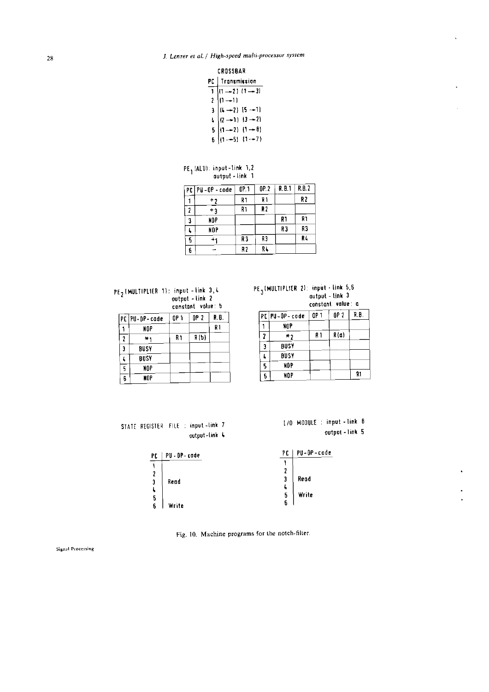| CROSSBAR |  |
|----------|--|
|----------|--|

| .                                                                  |  |  |  |  |
|--------------------------------------------------------------------|--|--|--|--|
| PC   Transmission                                                  |  |  |  |  |
| $1\sqrt{(1-2)}$ $(1-3)$                                            |  |  |  |  |
| $2  1 - 1 $                                                        |  |  |  |  |
|                                                                    |  |  |  |  |
| 3<br>(1 --2) $[5 -1]$<br>(2 --1) $[3 -2]$<br>5<br>(1 --5) $[1 -7]$ |  |  |  |  |
|                                                                    |  |  |  |  |
|                                                                    |  |  |  |  |

|  | PE <sub>1</sub> (ALU): input-link 1,2 |  |
|--|---------------------------------------|--|
|  | output - link 1                       |  |

|    | PC   PU - OP - code | OP 1 | 0P.2           | R.B.1 | R.B.2 |
|----|---------------------|------|----------------|-------|-------|
|    | +2                  | R 1  | R 1            |       | R2    |
| 1  | +3                  | R1   | R <sub>2</sub> |       |       |
| 3  | NOP                 |      |                | R١    | R1    |
|    | NOP                 |      |                | R3    | R3    |
| s. |                     | R3   | RЗ             |       | R.    |
| 6  |                     | R2   | RL             |       |       |

| $PE2$ [MULTIPLIER 1): input - link 3,4 | PE <sub>3</sub> (MULTIPLIER 2): input - link 5,6 |
|----------------------------------------|--------------------------------------------------|
| output -link 2                         | -autput - link 3                                 |
| conctant value h                       | constant value: c                                |

|   | PC PU-OP-code | OP 1 | OP 2 | R.B. |
|---|---------------|------|------|------|
|   | NOP           |      |      | R 1  |
| 7 | ×۱            | R١   | R(b) |      |
| Э | BUSY          |      |      |      |
|   | <b>BUSY</b>   |      |      |      |
| 5 | NOP           |      |      |      |
| 6 | NOP           |      |      |      |

| input - link 3,4  | $PE_{3}$ (MULTIPLIER 2): input - link 5,6 |
|-------------------|-------------------------------------------|
| output – link 2   | output - link 3                           |
| constant value: b | constant value a                          |

|   | PC   PU - OP - code | OP 1 | OP 2  | R B. |
|---|---------------------|------|-------|------|
|   | NOP                 |      |       |      |
| 7 | * ?                 | R 1  | R (a) |      |
| 3 | <b>BUSY</b>         |      |       |      |
|   | <b>BUSY</b>         |      |       |      |
| 5 | NDP                 |      |       |      |
|   | NOP                 |      |       | R1   |

**110 MODULE** : **input -link** <sup>B</sup>

**outpui** - **link 5** 

|  |  | STATE REGISTER FILE : input-link 7 |  |
|--|--|------------------------------------|--|
|  |  | output-link &                      |  |

|       | PC                     | PU-OP-code |
|-------|------------------------|------------|
|       |                        |            |
|       | 2                      |            |
|       | 3                      | Read       |
|       | 4                      |            |
|       |                        | Write      |
| Write |                        |            |
|       | PU - DP - code<br>Read | 5<br>6     |

Fig. **10. Machine prograrns for the nolch-filier.** 

Signal Processing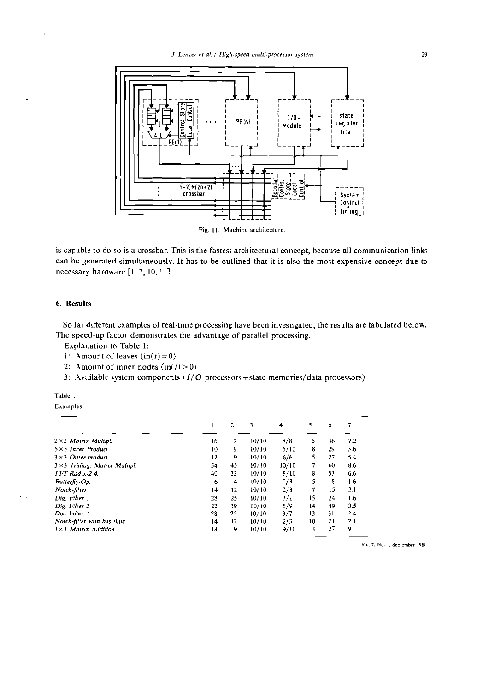

Fig. 11. Machine architecture.

is capable to do so is a crossbar. This is the fastest architectural concept, because all communication links can be generated simultaneously. It has to be outlined that it is also the most expensive concept due to necessary hardware [1, 7, 10, 11].

### 6. Results

So far different examples of real-time processing have been investigated, the results are tabulated below. The speed-up factor demonstrates the advantage of parallel processing.

- Explanation to Table 1:
- 1: Amount of leaves  $(in(t) = 0)$
- 2: Amount of inner nodes  $(in(t) > 0)$
- 3: Available system components  $(I/O$  processors + state memories/data processors)

| ante |  |
|------|--|
|      |  |

Examples

|                                       |    | $\overline{2}$ | 3     | 4     | 5  | 6  | 7   |
|---------------------------------------|----|----------------|-------|-------|----|----|-----|
| $2 \times 2$ Matrix Multipl.          | 16 | 12             | 10/10 | 8/8   | S  | 36 | 7.2 |
| $5 \times 5$ Inner Product            | 10 | 9              | 10/10 | 5/10  | 8  | 29 | 3.6 |
| $3 \times 3$ Outer product            | 12 | 9              | 10/10 | 6/6   | 5  | 27 | 5.4 |
| $3 \times 3$ Tridiag. Matrix Multipl. | 54 | 45             | 10/10 | 10/10 | 7  | 60 | 8.6 |
| FFT Radıx 2-4.                        | 40 | 33             | 10/10 | 8/10  | 8  | 53 | 6.6 |
| Butterfly-Op.                         | 6  | 4              | 10/10 | 2/3   | 5  | 8  | 1.6 |
| Notch-filter                          | 14 | 12             | 10/10 | 2/3   | 7  | 15 | 2.1 |
| Dig. Filter 1                         | 28 | 25             | 10/10 | 3/1   | 15 | 24 | 1.6 |
| Dig. Filter 2                         | 22 | 19             | 10/10 | 5/9   | 14 | 49 | 3.5 |
| Dig. Filter 3                         | 28 | 25             | 10/10 | 3/7   | 13 | 31 | 2.4 |
| Notch-filter with bus-time            | 14 | 12             | 10/10 | 2/3   | 10 | 21 | 2.1 |
| $3\times3$ Matrix Addition            | 18 | 9              | 10/10 | 9/10  | 3  | 27 | 9   |

Vol. 7, No. 1, September 1984